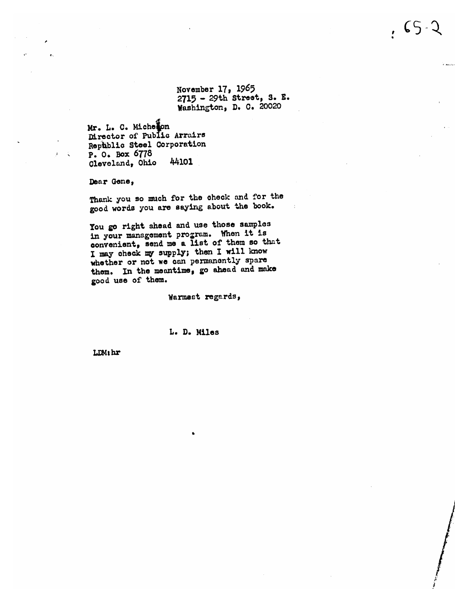November 17, 1965 2715 - 29th Street, S. E. Washington, D. C. 20020

Mr. L. C. Michelon Mrector of Public Arrairs Republic Steel Corporation P. O. Box 6778 Cleveland, Ohio 44101

Dear Gene,

Thank you so much for the check and for the good words you are saying about the book.

You go right shead and use those samples in your management program. When it is convenient, send me a list of them so that I may check my supply; then I will know whether or not we can permanently spare them. In the meantime, go ahead and make good use of them.

Warmest regards,

### L. D. Miles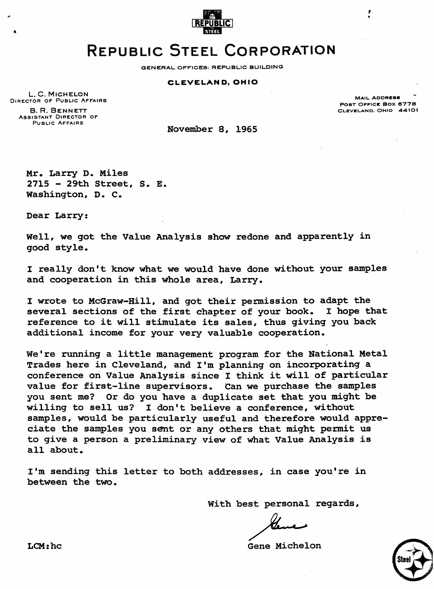

# **REPUBLIC STEEL CORPORATION**

**GENERAL OFFICES: REPUBLIC BUILDING** 

### **CLEVELAND, OHIO**

L. C. MICHELON DIRECTOR OF PUBLIC AFFAIRS **B. R. BENNETT** ASSISTANT DIRECTOR OF PUBLIC AFFAIRS

**MAIL ADDRESS POST OFFICE BOX 8778 CLEVELAND. OHIO 44101** 

November **8,** 1965

Mr. Larry D. Miles <sup>2715</sup>- 29th Street, **S. E.**  Washington, **D.** C.

Dear Larry:

Well, we got the Value Analysis shw redone and apparently in good style.

I really don't know what we would have done without your samples and cooperation in this whole area, Larry.

I wrote to McGraw-Hill, and got their permission to adapt the several sections of the first chapter of your book. reference to it will stimulate its sales, thus giving you back additional income for your very valuable cooperation.

We're running a little management program for the National Metal Trades here in Cleveland, and **I'm** planning on incorporating a conference on Value Analysis since I think it will of particular value for first-line supervisors. Can **we** purchase the samples you sent me? Or do you have a duplicate set that you might be willing to sell us? I don't believe a conference, without samples, would be particularly useful and therefore would appreciate the samples you sent or any others that might permit us to give a person a preliminary view of what Value Analysis is all about.

I'm sending this letter to both addresses, in case you're in between the two.

With best personal regards,

LCM:hc Gene Michelon

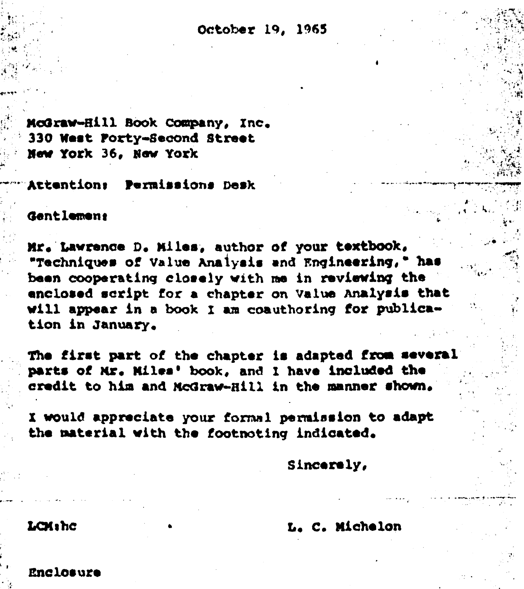October 19, 1965

McGraw-Hill Book Company, Inc. 330 West Porty-Second Street New York 36, New York

Permissions Desk Attention:

## Gentlement

Mr. Lawrence D. Miles, author of your textbook, "Techniques of Value Analysis and Engineering," has been cooperating closely with me in reviewing the enclosed script for a chapter on Value Analysis that will appear in a book I am coauthoring for publication in January.

The first part of the chapter is adapted from several parts of Mr. Miles' book, and I have included the credit to him and McGraw-Hill in the manner shown.

I would appreciate your formal permission to adapt the material with the footnoting indicated.

Sincerely,

# L. C. Michelon

## LCMihc

Enclosure